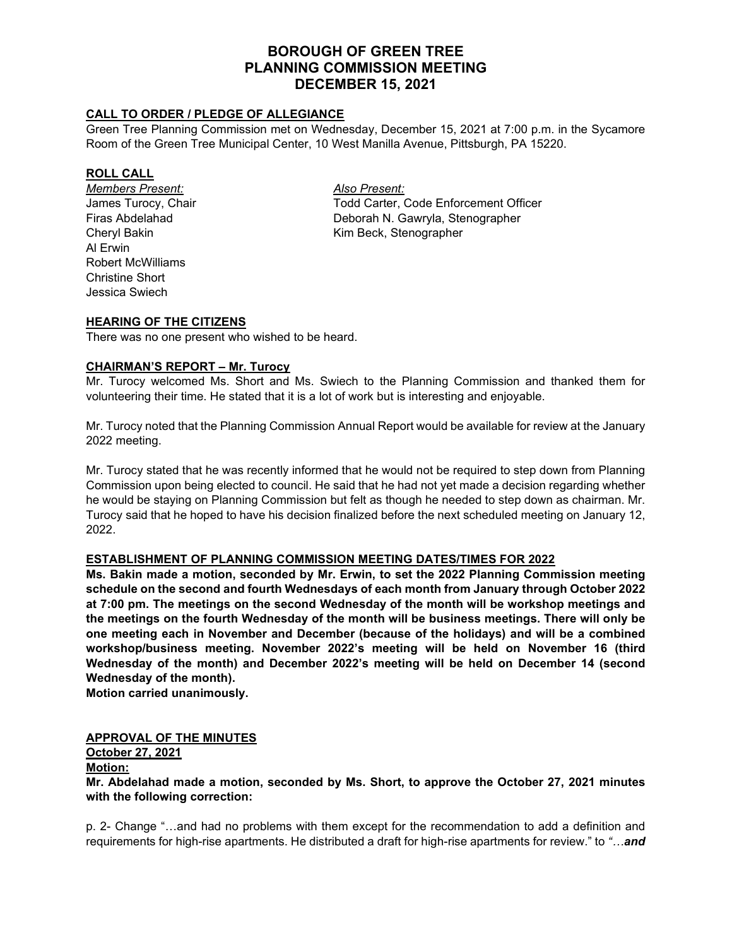# **BOROUGH OF GREEN TREE PLANNING COMMISSION MEETING DECEMBER 15, 2021**

### **CALL TO ORDER / PLEDGE OF ALLEGIANCE**

Green Tree Planning Commission met on Wednesday, December 15, 2021 at 7:00 p.m. in the Sycamore Room of the Green Tree Municipal Center, 10 West Manilla Avenue, Pittsburgh, PA 15220.

#### **ROLL CALL**

*Members Present: Also Present:* Al Erwin Robert McWilliams Christine Short Jessica Swiech

James Turocy, Chair Total Carter, Code Enforcement Officer Firas Abdelahad Deborah N. Gawryla, Stenographer Cheryl Bakin Kim Beck, Stenographer

#### **HEARING OF THE CITIZENS**

There was no one present who wished to be heard.

#### **CHAIRMAN'S REPORT – Mr. Turocy**

Mr. Turocy welcomed Ms. Short and Ms. Swiech to the Planning Commission and thanked them for volunteering their time. He stated that it is a lot of work but is interesting and enjoyable.

Mr. Turocy noted that the Planning Commission Annual Report would be available for review at the January 2022 meeting.

Mr. Turocy stated that he was recently informed that he would not be required to step down from Planning Commission upon being elected to council. He said that he had not yet made a decision regarding whether he would be staying on Planning Commission but felt as though he needed to step down as chairman. Mr. Turocy said that he hoped to have his decision finalized before the next scheduled meeting on January 12, 2022.

#### **ESTABLISHMENT OF PLANNING COMMISSION MEETING DATES/TIMES FOR 2022**

**Ms. Bakin made a motion, seconded by Mr. Erwin, to set the 2022 Planning Commission meeting schedule on the second and fourth Wednesdays of each month from January through October 2022 at 7:00 pm. The meetings on the second Wednesday of the month will be workshop meetings and the meetings on the fourth Wednesday of the month will be business meetings. There will only be one meeting each in November and December (because of the holidays) and will be a combined workshop/business meeting. November 2022's meeting will be held on November 16 (third Wednesday of the month) and December 2022's meeting will be held on December 14 (second Wednesday of the month).**

**Motion carried unanimously.**

#### **APPROVAL OF THE MINUTES**

#### **October 27, 2021**

#### **Motion:**

**Mr. Abdelahad made a motion, seconded by Ms. Short, to approve the October 27, 2021 minutes with the following correction:**

p. 2- Change "…and had no problems with them except for the recommendation to add a definition and requirements for high-rise apartments. He distributed a draft for high-rise apartments for review." to *"…and*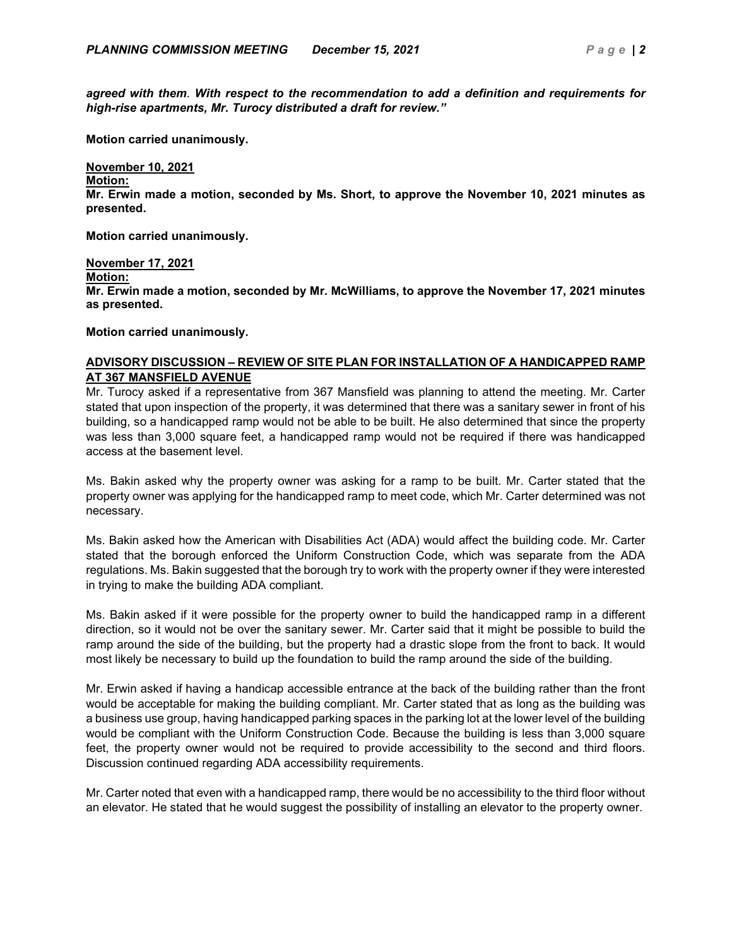*agreed with them. With respect to the recommendation to add a definition and requirements for high-rise apartments, Mr. Turocy distributed a draft for review."*

**Motion carried unanimously.**

# **November 10, 2021**

**Motion:**

**Mr. Erwin made a motion, seconded by Ms. Short, to approve the November 10, 2021 minutes as presented.** 

**Motion carried unanimously.**

**November 17, 2021 Motion: Mr. Erwin made a motion, seconded by Mr. McWilliams, to approve the November 17, 2021 minutes as presented.** 

**Motion carried unanimously.**

#### **ADVISORY DISCUSSION – REVIEW OF SITE PLAN FOR INSTALLATION OF A HANDICAPPED RAMP AT 367 MANSFIELD AVENUE**

Mr. Turocy asked if a representative from 367 Mansfield was planning to attend the meeting. Mr. Carter stated that upon inspection of the property, it was determined that there was a sanitary sewer in front of his building, so a handicapped ramp would not be able to be built. He also determined that since the property was less than 3,000 square feet, a handicapped ramp would not be required if there was handicapped access at the basement level.

Ms. Bakin asked why the property owner was asking for a ramp to be built. Mr. Carter stated that the property owner was applying for the handicapped ramp to meet code, which Mr. Carter determined was not necessary.

Ms. Bakin asked how the American with Disabilities Act (ADA) would affect the building code. Mr. Carter stated that the borough enforced the Uniform Construction Code, which was separate from the ADA regulations. Ms. Bakin suggested that the borough try to work with the property owner if they were interested in trying to make the building ADA compliant.

Ms. Bakin asked if it were possible for the property owner to build the handicapped ramp in a different direction, so it would not be over the sanitary sewer. Mr. Carter said that it might be possible to build the ramp around the side of the building, but the property had a drastic slope from the front to back. It would most likely be necessary to build up the foundation to build the ramp around the side of the building.

Mr. Erwin asked if having a handicap accessible entrance at the back of the building rather than the front would be acceptable for making the building compliant. Mr. Carter stated that as long as the building was a business use group, having handicapped parking spaces in the parking lot at the lower level of the building would be compliant with the Uniform Construction Code. Because the building is less than 3,000 square feet, the property owner would not be required to provide accessibility to the second and third floors. Discussion continued regarding ADA accessibility requirements.

Mr. Carter noted that even with a handicapped ramp, there would be no accessibility to the third floor without an elevator. He stated that he would suggest the possibility of installing an elevator to the property owner.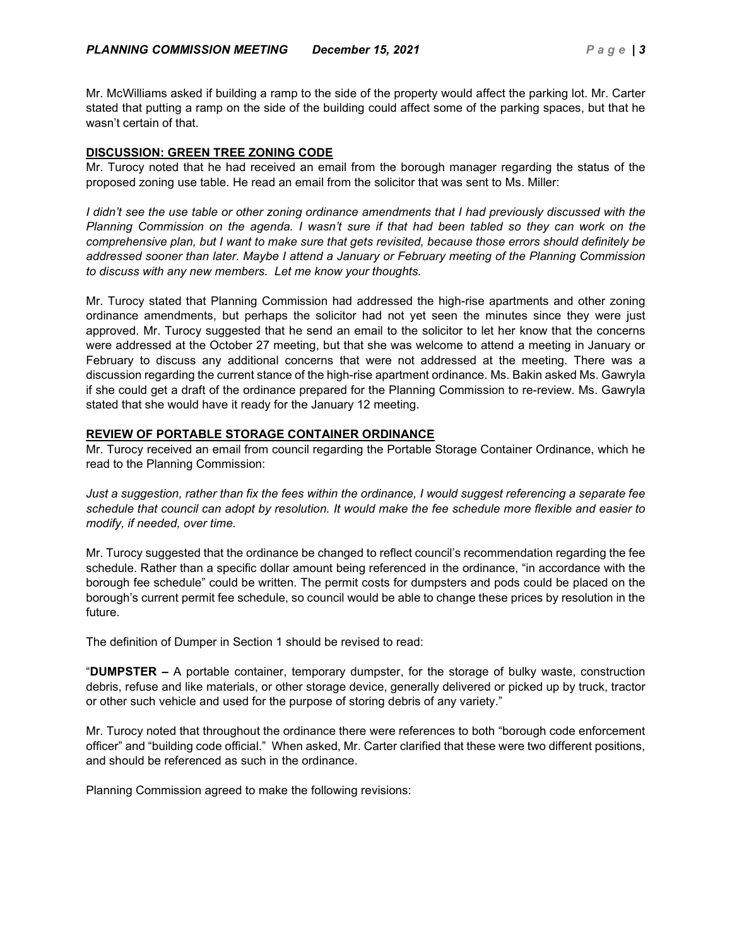Mr. McWilliams asked if building a ramp to the side of the property would affect the parking lot. Mr. Carter stated that putting a ramp on the side of the building could affect some of the parking spaces, but that he wasn't certain of that.

### **DISCUSSION: GREEN TREE ZONING CODE**

Mr. Turocy noted that he had received an email from the borough manager regarding the status of the proposed zoning use table. He read an email from the solicitor that was sent to Ms. Miller:

*I didn't see the use table or other zoning ordinance amendments that I had previously discussed with the Planning Commission on the agenda. I wasn't sure if that had been tabled so they can work on the comprehensive plan, but I want to make sure that gets revisited, because those errors should definitely be addressed sooner than later. Maybe I attend a January or February meeting of the Planning Commission to discuss with any new members. Let me know your thoughts.*

Mr. Turocy stated that Planning Commission had addressed the high-rise apartments and other zoning ordinance amendments, but perhaps the solicitor had not yet seen the minutes since they were just approved. Mr. Turocy suggested that he send an email to the solicitor to let her know that the concerns were addressed at the October 27 meeting, but that she was welcome to attend a meeting in January or February to discuss any additional concerns that were not addressed at the meeting. There was a discussion regarding the current stance of the high-rise apartment ordinance. Ms. Bakin asked Ms. Gawryla if she could get a draft of the ordinance prepared for the Planning Commission to re-review. Ms. Gawryla stated that she would have it ready for the January 12 meeting.

# **REVIEW OF PORTABLE STORAGE CONTAINER ORDINANCE**

Mr. Turocy received an email from council regarding the Portable Storage Container Ordinance, which he read to the Planning Commission:

*Just a suggestion, rather than fix the fees within the ordinance, I would suggest referencing a separate fee schedule that council can adopt by resolution. It would make the fee schedule more flexible and easier to modify, if needed, over time.*

Mr. Turocy suggested that the ordinance be changed to reflect council's recommendation regarding the fee schedule. Rather than a specific dollar amount being referenced in the ordinance, "in accordance with the borough fee schedule" could be written. The permit costs for dumpsters and pods could be placed on the borough's current permit fee schedule, so council would be able to change these prices by resolution in the future.

The definition of Dumper in Section 1 should be revised to read:

"**DUMPSTER –** A portable container, temporary dumpster, for the storage of bulky waste, construction debris, refuse and like materials, or other storage device, generally delivered or picked up by truck, tractor or other such vehicle and used for the purpose of storing debris of any variety."

Mr. Turocy noted that throughout the ordinance there were references to both "borough code enforcement officer" and "building code official." When asked, Mr. Carter clarified that these were two different positions, and should be referenced as such in the ordinance.

Planning Commission agreed to make the following revisions: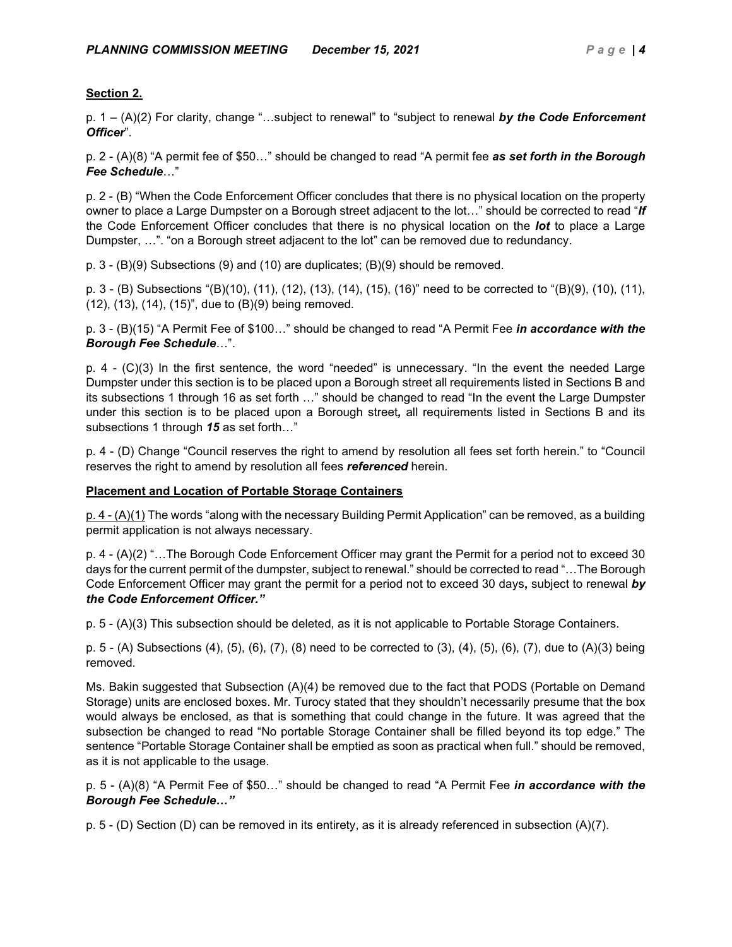# **Section 2.**

p. 1 – (A)(2) For clarity, change "…subject to renewal" to "subject to renewal *by the Code Enforcement Officer*".

p. 2 - (A)(8) "A permit fee of \$50…" should be changed to read "A permit fee *as set forth in the Borough Fee Schedule*…"

p. 2 - (B) "When the Code Enforcement Officer concludes that there is no physical location on the property owner to place a Large Dumpster on a Borough street adjacent to the lot…" should be corrected to read "*If* the Code Enforcement Officer concludes that there is no physical location on the *lot* to place a Large Dumpster, …". "on a Borough street adjacent to the lot" can be removed due to redundancy.

p. 3 - (B)(9) Subsections (9) and (10) are duplicates; (B)(9) should be removed.

p. 3 - (B) Subsections "(B)(10), (11), (12), (13), (14), (15), (16)" need to be corrected to "(B)(9), (10), (11), (12), (13), (14), (15)", due to (B)(9) being removed.

p. 3 - (B)(15) "A Permit Fee of \$100…" should be changed to read "A Permit Fee *in accordance with the Borough Fee Schedule*…".

p. 4 - (C)(3) In the first sentence, the word "needed" is unnecessary. "In the event the needed Large Dumpster under this section is to be placed upon a Borough street all requirements listed in Sections B and its subsections 1 through 16 as set forth …" should be changed to read "In the event the Large Dumpster under this section is to be placed upon a Borough street*,* all requirements listed in Sections B and its subsections 1 through *15* as set forth…"

p. 4 - (D) Change "Council reserves the right to amend by resolution all fees set forth herein." to "Council reserves the right to amend by resolution all fees *referenced* herein.

# **Placement and Location of Portable Storage Containers**

p. 4 - (A)(1) The words "along with the necessary Building Permit Application" can be removed, as a building permit application is not always necessary.

p. 4 - (A)(2) "…The Borough Code Enforcement Officer may grant the Permit for a period not to exceed 30 days for the current permit of the dumpster, subject to renewal." should be corrected to read "…The Borough Code Enforcement Officer may grant the permit for a period not to exceed 30 days**,** subject to renewal *by the Code Enforcement Officer."* 

p. 5 - (A)(3) This subsection should be deleted, as it is not applicable to Portable Storage Containers.

p. 5 - (A) Subsections (4), (5), (6), (7), (8) need to be corrected to (3), (4), (5), (6), (7), due to (A)(3) being removed.

Ms. Bakin suggested that Subsection (A)(4) be removed due to the fact that PODS (Portable on Demand Storage) units are enclosed boxes. Mr. Turocy stated that they shouldn't necessarily presume that the box would always be enclosed, as that is something that could change in the future. It was agreed that the subsection be changed to read "No portable Storage Container shall be filled beyond its top edge." The sentence "Portable Storage Container shall be emptied as soon as practical when full." should be removed, as it is not applicable to the usage.

p. 5 - (A)(8) "A Permit Fee of \$50…" should be changed to read "A Permit Fee *in accordance with the Borough Fee Schedule…"* 

p. 5 - (D) Section (D) can be removed in its entirety, as it is already referenced in subsection (A)(7).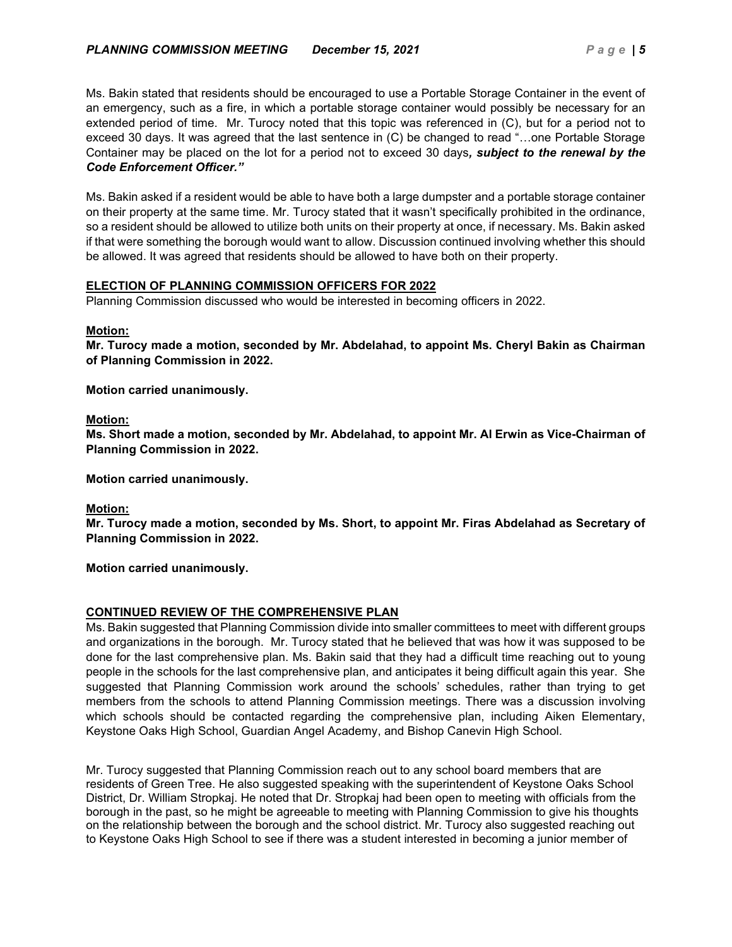Ms. Bakin stated that residents should be encouraged to use a Portable Storage Container in the event of an emergency, such as a fire, in which a portable storage container would possibly be necessary for an extended period of time. Mr. Turocy noted that this topic was referenced in (C), but for a period not to exceed 30 days. It was agreed that the last sentence in (C) be changed to read "…one Portable Storage Container may be placed on the lot for a period not to exceed 30 days*, subject to the renewal by the Code Enforcement Officer."*

Ms. Bakin asked if a resident would be able to have both a large dumpster and a portable storage container on their property at the same time. Mr. Turocy stated that it wasn't specifically prohibited in the ordinance, so a resident should be allowed to utilize both units on their property at once, if necessary. Ms. Bakin asked if that were something the borough would want to allow. Discussion continued involving whether this should be allowed. It was agreed that residents should be allowed to have both on their property.

#### **ELECTION OF PLANNING COMMISSION OFFICERS FOR 2022**

Planning Commission discussed who would be interested in becoming officers in 2022.

#### **Motion:**

**Mr. Turocy made a motion, seconded by Mr. Abdelahad, to appoint Ms. Cheryl Bakin as Chairman of Planning Commission in 2022.**

**Motion carried unanimously.**

#### **Motion:**

**Ms. Short made a motion, seconded by Mr. Abdelahad, to appoint Mr. Al Erwin as Vice-Chairman of Planning Commission in 2022.**

**Motion carried unanimously.**

# **Motion:**

**Mr. Turocy made a motion, seconded by Ms. Short, to appoint Mr. Firas Abdelahad as Secretary of Planning Commission in 2022.**

**Motion carried unanimously.**

# **CONTINUED REVIEW OF THE COMPREHENSIVE PLAN**

Ms. Bakin suggested that Planning Commission divide into smaller committees to meet with different groups and organizations in the borough. Mr. Turocy stated that he believed that was how it was supposed to be done for the last comprehensive plan. Ms. Bakin said that they had a difficult time reaching out to young people in the schools for the last comprehensive plan, and anticipates it being difficult again this year. She suggested that Planning Commission work around the schools' schedules, rather than trying to get members from the schools to attend Planning Commission meetings. There was a discussion involving which schools should be contacted regarding the comprehensive plan, including Aiken Elementary, Keystone Oaks High School, Guardian Angel Academy, and Bishop Canevin High School.

Mr. Turocy suggested that Planning Commission reach out to any school board members that are residents of Green Tree. He also suggested speaking with the superintendent of Keystone Oaks School District, Dr. William Stropkaj. He noted that Dr. Stropkaj had been open to meeting with officials from the borough in the past, so he might be agreeable to meeting with Planning Commission to give his thoughts on the relationship between the borough and the school district. Mr. Turocy also suggested reaching out to Keystone Oaks High School to see if there was a student interested in becoming a junior member of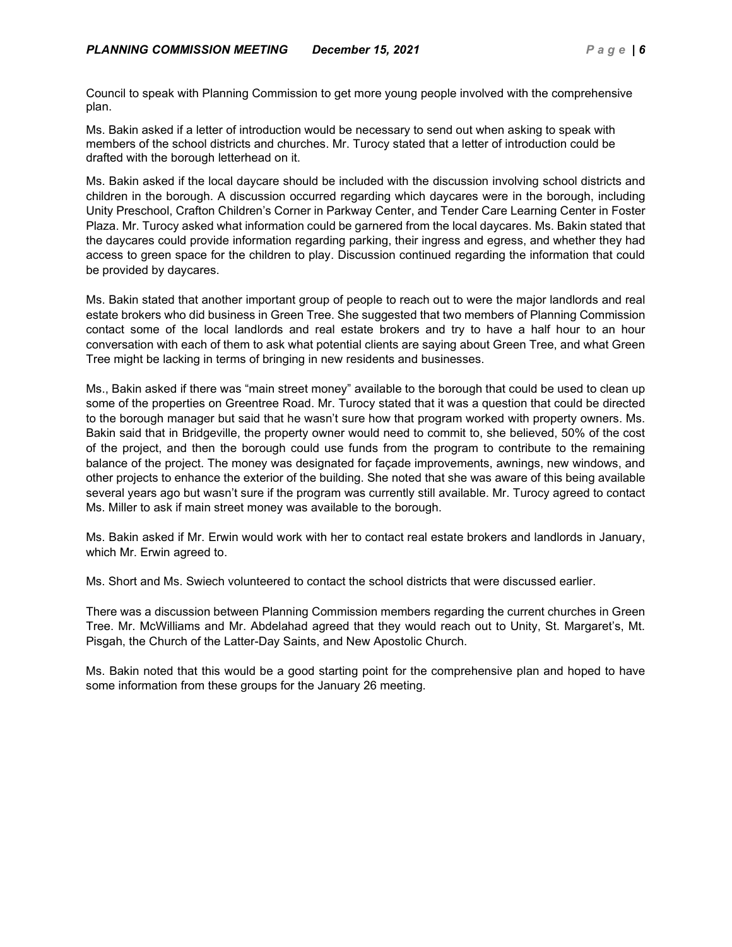Council to speak with Planning Commission to get more young people involved with the comprehensive plan.

Ms. Bakin asked if a letter of introduction would be necessary to send out when asking to speak with members of the school districts and churches. Mr. Turocy stated that a letter of introduction could be drafted with the borough letterhead on it.

Ms. Bakin asked if the local daycare should be included with the discussion involving school districts and children in the borough. A discussion occurred regarding which daycares were in the borough, including Unity Preschool, Crafton Children's Corner in Parkway Center, and Tender Care Learning Center in Foster Plaza. Mr. Turocy asked what information could be garnered from the local daycares. Ms. Bakin stated that the daycares could provide information regarding parking, their ingress and egress, and whether they had access to green space for the children to play. Discussion continued regarding the information that could be provided by daycares.

Ms. Bakin stated that another important group of people to reach out to were the major landlords and real estate brokers who did business in Green Tree. She suggested that two members of Planning Commission contact some of the local landlords and real estate brokers and try to have a half hour to an hour conversation with each of them to ask what potential clients are saying about Green Tree, and what Green Tree might be lacking in terms of bringing in new residents and businesses.

Ms., Bakin asked if there was "main street money" available to the borough that could be used to clean up some of the properties on Greentree Road. Mr. Turocy stated that it was a question that could be directed to the borough manager but said that he wasn't sure how that program worked with property owners. Ms. Bakin said that in Bridgeville, the property owner would need to commit to, she believed, 50% of the cost of the project, and then the borough could use funds from the program to contribute to the remaining balance of the project. The money was designated for façade improvements, awnings, new windows, and other projects to enhance the exterior of the building. She noted that she was aware of this being available several years ago but wasn't sure if the program was currently still available. Mr. Turocy agreed to contact Ms. Miller to ask if main street money was available to the borough.

Ms. Bakin asked if Mr. Erwin would work with her to contact real estate brokers and landlords in January, which Mr. Erwin agreed to.

Ms. Short and Ms. Swiech volunteered to contact the school districts that were discussed earlier.

There was a discussion between Planning Commission members regarding the current churches in Green Tree. Mr. McWilliams and Mr. Abdelahad agreed that they would reach out to Unity, St. Margaret's, Mt. Pisgah, the Church of the Latter-Day Saints, and New Apostolic Church.

Ms. Bakin noted that this would be a good starting point for the comprehensive plan and hoped to have some information from these groups for the January 26 meeting.